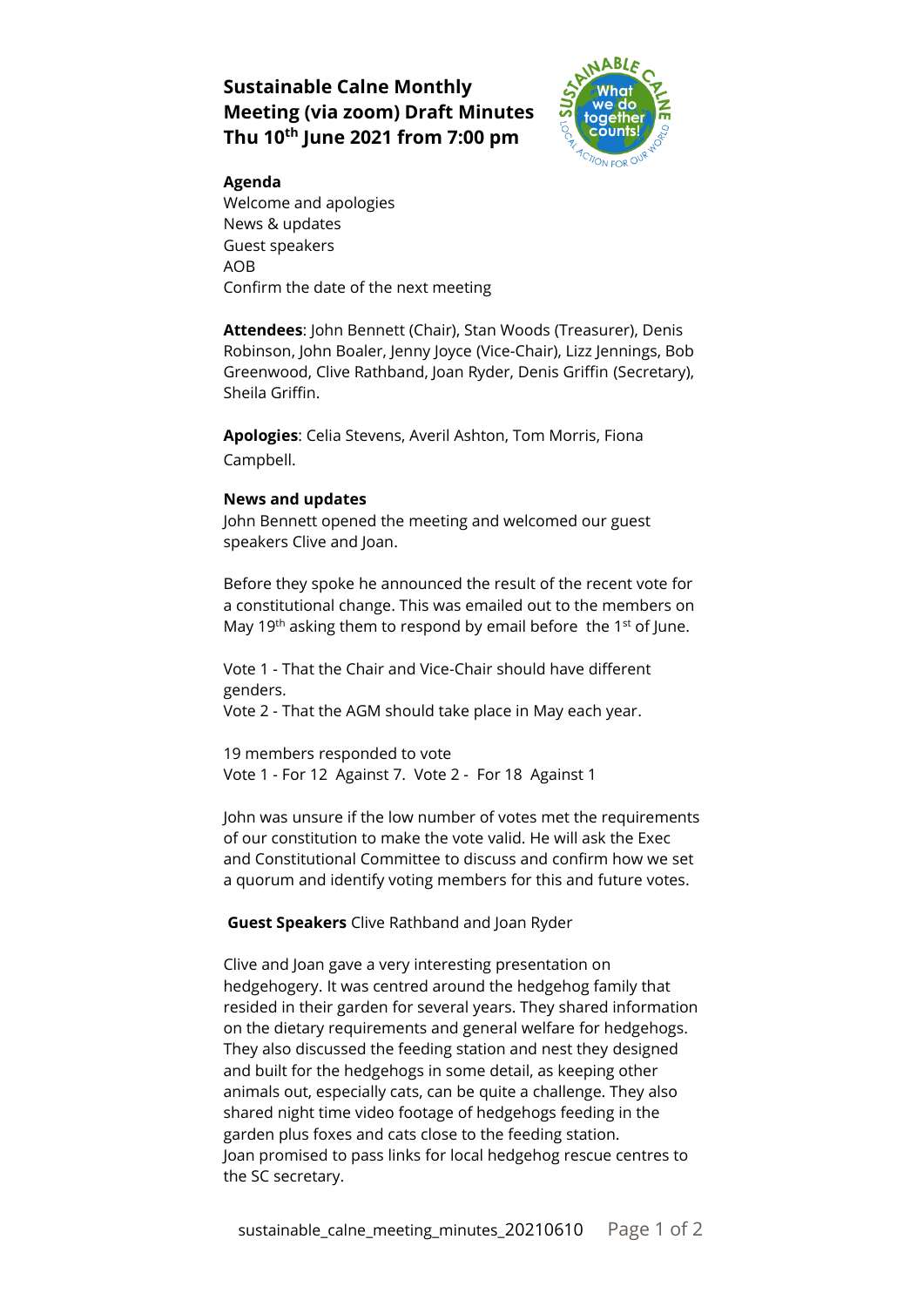# **Sustainable Calne Monthly Meeting (via zoom) Draft Minutes Thu 10th June 2021 from 7:00 pm**



## **Agenda**

Welcome and apologies News & updates Guest speakers AOB Confirm the date of the next meeting

**Attendees**: John Bennett (Chair), Stan Woods (Treasurer), Denis Robinson, John Boaler, Jenny Joyce (Vice-Chair), Lizz Jennings, Bob Greenwood, Clive Rathband, Joan Ryder, Denis Griffin (Secretary), Sheila Griffin.

**Apologies**: Celia Stevens, Averil Ashton, Tom Morris, Fiona Campbell.

### **News and updates**

John Bennett opened the meeting and welcomed our guest speakers Clive and Joan.

Before they spoke he announced the result of the recent vote for a constitutional change. This was emailed out to the members on May 19<sup>th</sup> asking them to respond by email before the 1<sup>st</sup> of June.

Vote 1 - That the Chair and Vice-Chair should have different genders.

Vote 2 - That the AGM should take place in May each year.

19 members responded to vote Vote 1 - For 12 Against 7. Vote 2 - For 18 Against 1

John was unsure if the low number of votes met the requirements of our constitution to make the vote valid. He will ask the Exec and Constitutional Committee to discuss and confirm how we set a quorum and identify voting members for this and future votes.

## **Guest Speakers** Clive Rathband and Joan Ryder

Clive and Joan gave a very interesting presentation on hedgehogery. It was centred around the hedgehog family that resided in their garden for several years. They shared information on the dietary requirements and general welfare for hedgehogs. They also discussed the feeding station and nest they designed and built for the hedgehogs in some detail, as keeping other animals out, especially cats, can be quite a challenge. They also shared night time video footage of hedgehogs feeding in the garden plus foxes and cats close to the feeding station. Joan promised to pass links for local hedgehog rescue centres to the SC secretary.